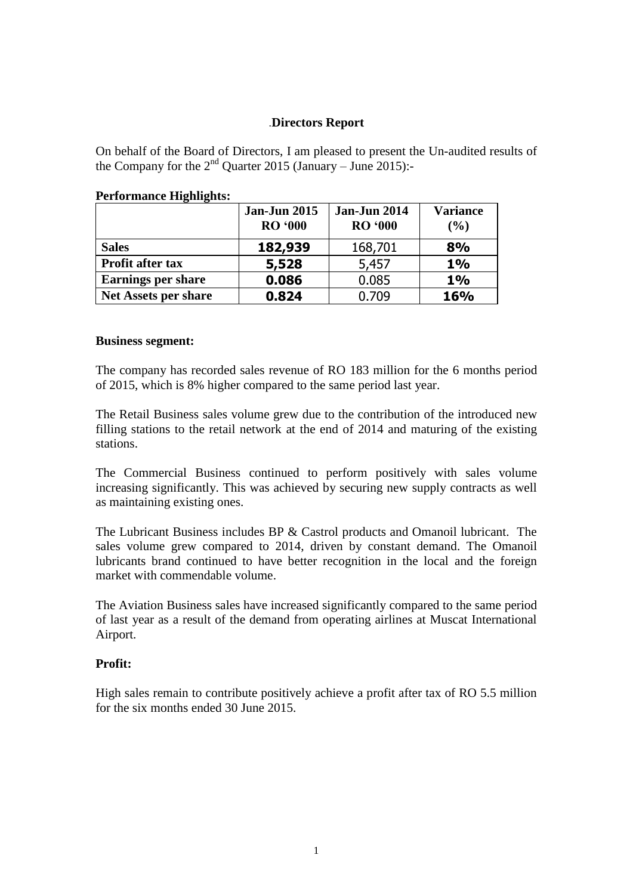## .**Directors Report**

On behalf of the Board of Directors, I am pleased to present the Un-audited results of the Company for the  $2<sup>nd</sup>$  Quarter 2015 (January – June 2015):-

|                             | <b>Jan-Jun 2015</b><br><b>RO</b> '000 | <b>Jan-Jun 2014</b><br><b>RO</b> '000 | <b>Variance</b><br>(%) |
|-----------------------------|---------------------------------------|---------------------------------------|------------------------|
| <b>Sales</b>                | 182,939                               | 168,701                               | 8%                     |
| <b>Profit after tax</b>     | 5,528                                 | 5,457                                 | 1%                     |
| <b>Earnings per share</b>   | 0.086                                 | 0.085                                 | 1%                     |
| <b>Net Assets per share</b> | 0.824                                 | 0.709                                 | 16%                    |

### **Performance Highlights:**

#### **Business segment:**

The company has recorded sales revenue of RO 183 million for the 6 months period of 2015, which is 8% higher compared to the same period last year.

The Retail Business sales volume grew due to the contribution of the introduced new filling stations to the retail network at the end of 2014 and maturing of the existing stations.

The Commercial Business continued to perform positively with sales volume increasing significantly. This was achieved by securing new supply contracts as well as maintaining existing ones.

The Lubricant Business includes BP & Castrol products and Omanoil lubricant. The sales volume grew compared to 2014, driven by constant demand. The Omanoil lubricants brand continued to have better recognition in the local and the foreign market with commendable volume.

The Aviation Business sales have increased significantly compared to the same period of last year as a result of the demand from operating airlines at Muscat International Airport.

### **Profit:**

High sales remain to contribute positively achieve a profit after tax of RO 5.5 million for the six months ended 30 June 2015.